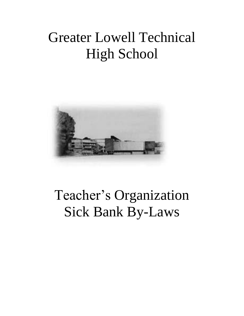## Greater Lowell Technical High School



## Teacher's Organization Sick Bank By-Laws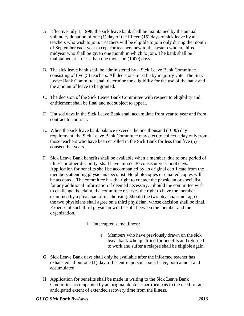- A. Effective July 1, 1998, the sick leave bank shall be maintained by the annual voluntary donation of one (1) day of the fifteen (15) days of sick leave by all teachers who wish to join. Teachers will be eligible to join only during the month of September each year except for teachers new to the system who are hired midyear who shall be given one month in which to join. The bank shall be maintained at no less than one thousand (1000) days.
- B. The sick leave bank shall be administered by a Sick Leave Bank Committee consisting of five (5) teachers. All decisions must be by majority vote. The Sick Leave Bank Committee shall determine the eligibility for the use of the bank and the amount of leave to be granted.
- C. The decision of the Sick Leave Bank Committee with respect to eligibility and entitlement shall be final and not subject to appeal.
- D. Unused days in the Sick Leave Bank shall accumulate from year to year and from contract to contract.
- E. When the sick leave bank balance exceeds the one thousand (1000) day requirement, the Sick Leave Bank Committee may elect to collect a day only from those teachers who have been enrolled in the Sick Bank for less than five (5) consecutive years.
- F. Sick Leave Bank benefits shall be available when a member, due to one period of illness or other disability, shall have missed 30 consecutive school days. Application for benefits shall be accompanied by an original certificate from the members attending physician/specialist. No photocopies or emailed copies will be accepted. The committee has the right to contact the physician or specialist for any additional information if deemed necessary. Should the committee wish to challenge the claim, the committee reserves the right to have the member examined by a physician of its choosing. Should the two physicians not agree, the two physicians shall agree on a third physician, whose decision shall be final. Expense of such third physician will be split between the member and the organization.
	- 1. Interrupted same illness:
		- a. Members who have previously drawn on the sick leave bank who qualified for benefits and returned to work and suffer a relapse shall be eligible again.
- G. Sick Leave Bank days shall only be available after the informed teacher has exhausted all but one (1) day of his entire personal sick leave, both annual and accumulated.
- H. Application for benefits shall be made in writing to the Sick Leave Bank Committee accompanied by an original doctor's certificate as to the need for an anticipated extent of extended recovery time from the illness.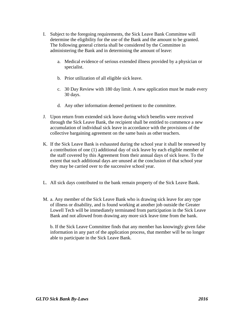- I. Subject to the foregoing requirements, the Sick Leave Bank Committee will determine the eligibility for the use of the Bank and the amount to be granted. The following general criteria shall be considered by the Committee in administering the Bank and in determining the amount of leave:
	- a. Medical evidence of serious extended illness provided by a physician or specialist.
	- b. Prior utilization of all eligible sick leave.
	- c. 30 Day Review with 180 day limit. A new application must be made every 30 days.
	- d. Any other information deemed pertinent to the committee.
- J. Upon return from extended sick leave during which benefits were received through the Sick Leave Bank, the recipient shall be entitled to commence a new accumulation of individual sick leave in accordance with the provisions of the collective bargaining agreement on the same basis as other teachers.
- K. If the Sick Leave Bank is exhausted during the school year it shall be renewed by a contribution of one (1) additional day of sick leave by each eligible member of the staff covered by this Agreement from their annual days of sick leave. To the extent that such additional days are unused at the conclusion of that school year they may be carried over to the successive school year.
- L. All sick days contributed to the bank remain property of the Sick Leave Bank.
- M. a. Any member of the Sick Leave Bank who is drawing sick leave for any type of illness or disability, and is found working at another job outside the Greater Lowell Tech will be immediately terminated from participation in the Sick Leave Bank and not allowed from drawing any more sick leave time from the bank.

b. If the Sick Leave Committee finds that any member has knowingly given false information in any part of the application process, that member will be no longer able to participate in the Sick Leave Bank.